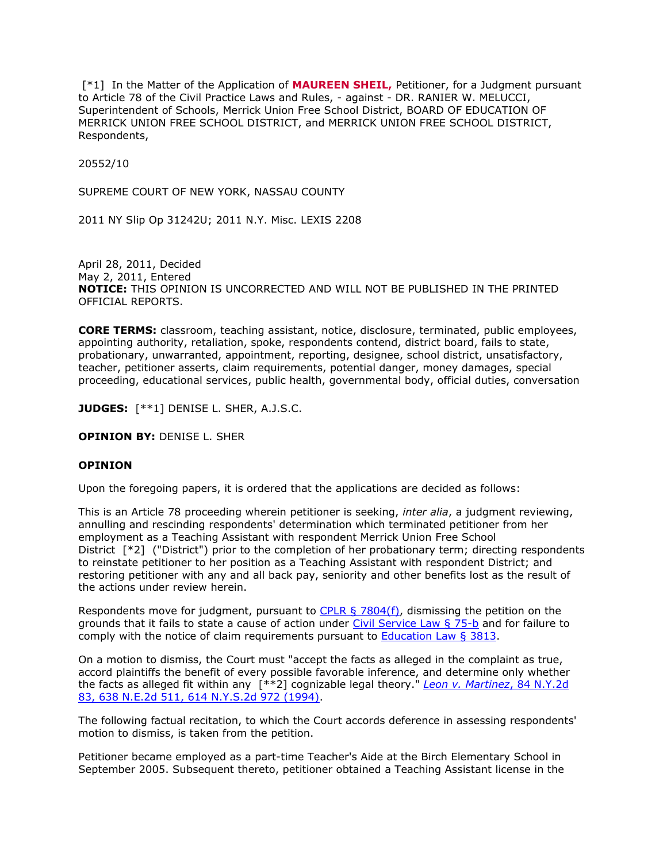[\*1] In the Matter of the Application of **MAUREEN SHEIL,** Petitioner, for a Judgment pursuant to Article 78 of the Civil Practice Laws and Rules, - against - DR. RANIER W. MELUCCI, Superintendent of Schools, Merrick Union Free School District, BOARD OF EDUCATION OF MERRICK UNION FREE SCHOOL DISTRICT, and MERRICK UNION FREE SCHOOL DISTRICT, Respondents,

20552/10

SUPREME COURT OF NEW YORK, NASSAU COUNTY

2011 NY Slip Op 31242U; 2011 N.Y. Misc. LEXIS 2208

April 28, 2011, Decided May 2, 2011, Entered **NOTICE:** THIS OPINION IS UNCORRECTED AND WILL NOT BE PUBLISHED IN THE PRINTED OFFICIAL REPORTS.

**CORE TERMS:** classroom, teaching assistant, notice, disclosure, terminated, public employees, appointing authority, retaliation, spoke, respondents contend, district board, fails to state, probationary, unwarranted, appointment, reporting, designee, school district, unsatisfactory, teacher, petitioner asserts, claim requirements, potential danger, money damages, special proceeding, educational services, public health, governmental body, official duties, conversation

**JUDGES:** [\*\*1] DENISE L. SHER, A.J.S.C.

**OPINION BY:** DENISE L. SHER

### **OPINION**

Upon the foregoing papers, it is ordered that the applications are decided as follows:

This is an Article 78 proceeding wherein petitioner is seeking, *inter alia*, a judgment reviewing, annulling and rescinding respondents' determination which terminated petitioner from her employment as a Teaching Assistant with respondent Merrick Union Free School District [\*2] ("District") prior to the completion of her probationary term; directing respondents to reinstate petitioner to her position as a Teaching Assistant with respondent District; and restoring petitioner with any and all back pay, seniority and other benefits lost as the result of the actions under review herein.

Respondents move for judgment, pursuant to  $CPLR \S 7804(f)$ , dismissing the petition on the grounds that it fails to state a cause of action under [Civil Service Law § 75-b](http://www.lexisnexis.com.ezproxy.strose.edu/lnacui2api/mungo/lexseestat.do?bct=A&risb=21_T12122685609&homeCsi=9095&A=0.9216312071783853&urlEnc=ISO-8859-1&&citeString=N.Y.%20CIV.%20SERV.%20LAW%2075-B&countryCode=USA) and for failure to comply with the notice of claim requirements pursuant to [Education Law § 3813.](http://www.lexisnexis.com.ezproxy.strose.edu/lnacui2api/mungo/lexseestat.do?bct=A&risb=21_T12122685609&homeCsi=9095&A=0.9216312071783853&urlEnc=ISO-8859-1&&citeString=N.Y.%20EDUC.%20LAW%203813&countryCode=USA)

On a motion to dismiss, the Court must "accept the facts as alleged in the complaint as true, accord plaintiffs the benefit of every possible favorable inference, and determine only whether the facts as alleged fit within any [\*\*2] cognizable legal theory." *[Leon v. Martinez](http://www.lexisnexis.com.ezproxy.strose.edu/lnacui2api/mungo/lexseestat.do?bct=A&risb=21_T12122685609&homeCsi=9095&A=0.9216312071783853&urlEnc=ISO-8859-1&&citeString=84%20N.Y.2d%2083&countryCode=USA)*, 84 N.Y.2d [83, 638 N.E.2d 511, 614 N.Y.S.2d 972 \(1994\).](http://www.lexisnexis.com.ezproxy.strose.edu/lnacui2api/mungo/lexseestat.do?bct=A&risb=21_T12122685609&homeCsi=9095&A=0.9216312071783853&urlEnc=ISO-8859-1&&citeString=84%20N.Y.2d%2083&countryCode=USA)

The following factual recitation, to which the Court accords deference in assessing respondents' motion to dismiss, is taken from the petition.

Petitioner became employed as a part-time Teacher's Aide at the Birch Elementary School in September 2005. Subsequent thereto, petitioner obtained a Teaching Assistant license in the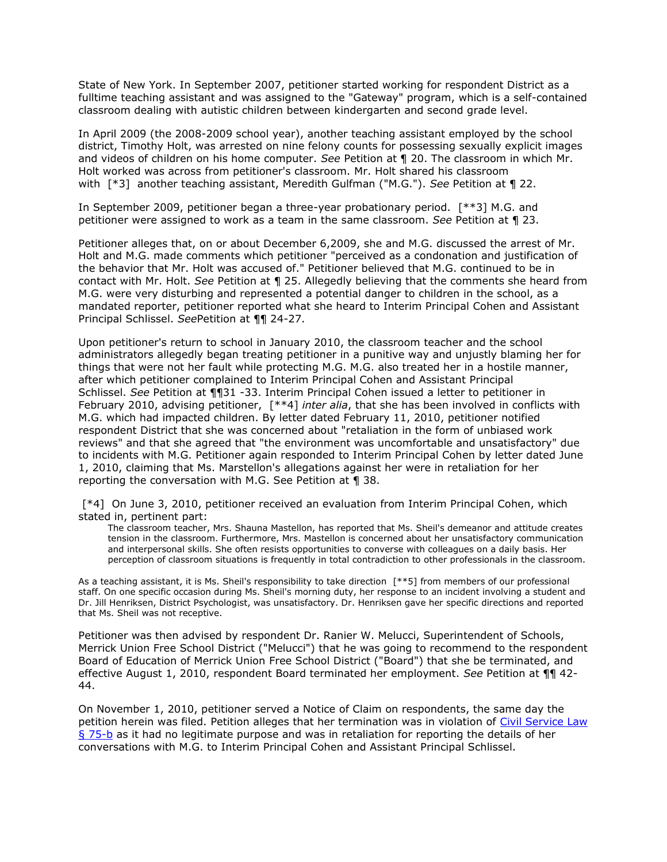State of New York. In September 2007, petitioner started working for respondent District as a fulltime teaching assistant and was assigned to the "Gateway" program, which is a self-contained classroom dealing with autistic children between kindergarten and second grade level.

In April 2009 (the 2008-2009 school year), another teaching assistant employed by the school district, Timothy Holt, was arrested on nine felony counts for possessing sexually explicit images and videos of children on his home computer. *See* Petition at ¶ 20. The classroom in which Mr. Holt worked was across from petitioner's classroom. Mr. Holt shared his classroom with [\*3] another teaching assistant, Meredith Gulfman ("M.G."). *See* Petition at ¶ 22.

In September 2009, petitioner began a three-year probationary period. [\*\*3] M.G. and petitioner were assigned to work as a team in the same classroom. *See* Petition at ¶ 23.

Petitioner alleges that, on or about December 6,2009, she and M.G. discussed the arrest of Mr. Holt and M.G. made comments which petitioner "perceived as a condonation and justification of the behavior that Mr. Holt was accused of." Petitioner believed that M.G. continued to be in contact with Mr. Holt. *See* Petition at ¶ 25. Allegedly believing that the comments she heard from M.G. were very disturbing and represented a potential danger to children in the school, as a mandated reporter, petitioner reported what she heard to Interim Principal Cohen and Assistant Principal Schlissel. *See*Petition at ¶¶ 24-27.

Upon petitioner's return to school in January 2010, the classroom teacher and the school administrators allegedly began treating petitioner in a punitive way and unjustly blaming her for things that were not her fault while protecting M.G. M.G. also treated her in a hostile manner, after which petitioner complained to Interim Principal Cohen and Assistant Principal Schlissel. *See* Petition at ¶¶31 -33. Interim Principal Cohen issued a letter to petitioner in February 2010, advising petitioner, [\*\*4] *inter alia*, that she has been involved in conflicts with M.G. which had impacted children. By letter dated February 11, 2010, petitioner notified respondent District that she was concerned about "retaliation in the form of unbiased work reviews" and that she agreed that "the environment was uncomfortable and unsatisfactory" due to incidents with M.G. Petitioner again responded to Interim Principal Cohen by letter dated June 1, 2010, claiming that Ms. Marstellon's allegations against her were in retaliation for her reporting the conversation with M.G. See Petition at ¶ 38.

[\*4] On June 3, 2010, petitioner received an evaluation from Interim Principal Cohen, which stated in, pertinent part:

The classroom teacher, Mrs. Shauna Mastellon, has reported that Ms. Sheil's demeanor and attitude creates tension in the classroom. Furthermore, Mrs. Mastellon is concerned about her unsatisfactory communication and interpersonal skills. She often resists opportunities to converse with colleagues on a daily basis. Her perception of classroom situations is frequently in total contradiction to other professionals in the classroom.

As a teaching assistant, it is Ms. Sheil's responsibility to take direction [\*\*5] from members of our professional staff. On one specific occasion during Ms. Sheil's morning duty, her response to an incident involving a student and Dr. Jill Henriksen, District Psychologist, was unsatisfactory. Dr. Henriksen gave her specific directions and reported that Ms. Sheil was not receptive.

Petitioner was then advised by respondent Dr. Ranier W. Melucci, Superintendent of Schools, Merrick Union Free School District ("Melucci") that he was going to recommend to the respondent Board of Education of Merrick Union Free School District ("Board") that she be terminated, and effective August 1, 2010, respondent Board terminated her employment. *See* Petition at ¶¶ 42- 44.

On November 1, 2010, petitioner served a Notice of Claim on respondents, the same day the petition herein was filed. Petition alleges that her termination was in violation of [Civil Service Law](http://www.lexisnexis.com.ezproxy.strose.edu/lnacui2api/mungo/lexseestat.do?bct=A&risb=21_T12122685609&homeCsi=9095&A=0.9216312071783853&urlEnc=ISO-8859-1&&citeString=N.Y.%20CIV.%20SERV.%20LAW%2075-B&countryCode=USA)  [§ 75-b](http://www.lexisnexis.com.ezproxy.strose.edu/lnacui2api/mungo/lexseestat.do?bct=A&risb=21_T12122685609&homeCsi=9095&A=0.9216312071783853&urlEnc=ISO-8859-1&&citeString=N.Y.%20CIV.%20SERV.%20LAW%2075-B&countryCode=USA) as it had no legitimate purpose and was in retaliation for reporting the details of her conversations with M.G. to Interim Principal Cohen and Assistant Principal Schlissel.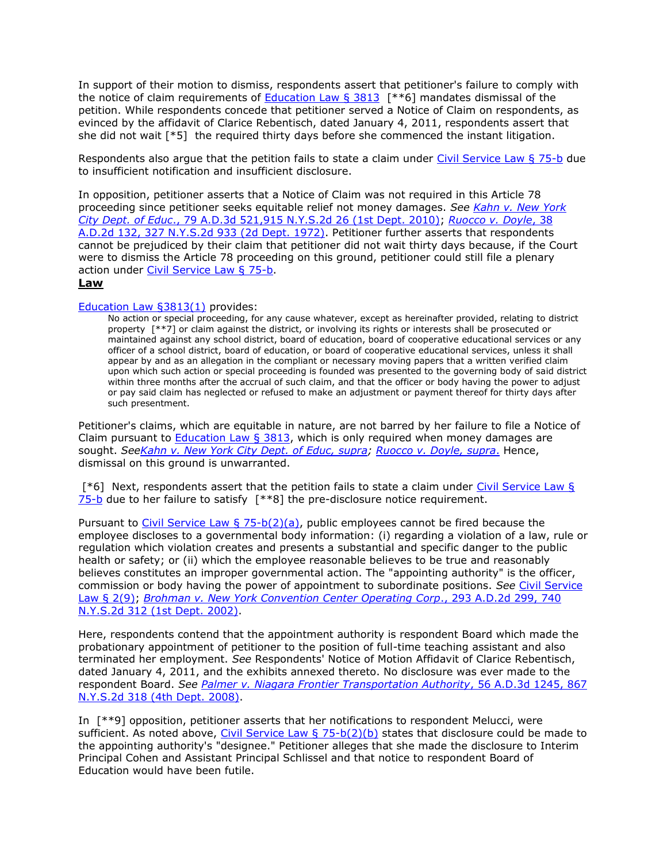In support of their motion to dismiss, respondents assert that petitioner's failure to comply with the notice of claim requirements of **Education Law § 3813** [ $**$ 6] mandates dismissal of the petition. While respondents concede that petitioner served a Notice of Claim on respondents, as evinced by the affidavit of Clarice Rebentisch, dated January 4, 2011, respondents assert that she did not wait [\*5] the required thirty days before she commenced the instant litigation.

Respondents also argue that the petition fails to state a claim under [Civil Service Law § 75-b](http://www.lexisnexis.com.ezproxy.strose.edu/lnacui2api/mungo/lexseestat.do?bct=A&risb=21_T12122685609&homeCsi=9095&A=0.9216312071783853&urlEnc=ISO-8859-1&&citeString=N.Y.%20CIV.%20SERV.%20LAW%2075-B&countryCode=USA) due to insufficient notification and insufficient disclosure.

In opposition, petitioner asserts that a Notice of Claim was not required in this Article 78 proceeding since petitioner seeks equitable relief not money damages. *See [Kahn v. New York](http://www.lexisnexis.com.ezproxy.strose.edu/lnacui2api/mungo/lexseestat.do?bct=A&risb=21_T12122685609&homeCsi=9095&A=0.9216312071783853&urlEnc=ISO-8859-1&&citeString=79%20A.D.3d%20521&countryCode=USA)  City Dept. of Educ*[., 79 A.D.3d 521,915 N.Y.S.2d 26 \(1st Dept. 2010\);](http://www.lexisnexis.com.ezproxy.strose.edu/lnacui2api/mungo/lexseestat.do?bct=A&risb=21_T12122685609&homeCsi=9095&A=0.9216312071783853&urlEnc=ISO-8859-1&&citeString=79%20A.D.3d%20521&countryCode=USA) *[Ruocco v. Doyle](http://www.lexisnexis.com.ezproxy.strose.edu/lnacui2api/mungo/lexseestat.do?bct=A&risb=21_T12122685609&homeCsi=9095&A=0.9216312071783853&urlEnc=ISO-8859-1&&citeString=38%20A.D.2d%20132&countryCode=USA)*, 38 [A.D.2d 132, 327 N.Y.S.2d 933 \(2d Dept. 1972\).](http://www.lexisnexis.com.ezproxy.strose.edu/lnacui2api/mungo/lexseestat.do?bct=A&risb=21_T12122685609&homeCsi=9095&A=0.9216312071783853&urlEnc=ISO-8859-1&&citeString=38%20A.D.2d%20132&countryCode=USA) Petitioner further asserts that respondents cannot be prejudiced by their claim that petitioner did not wait thirty days because, if the Court were to dismiss the Article 78 proceeding on this ground, petitioner could still file a plenary action under [Civil Service Law § 75-b.](http://www.lexisnexis.com.ezproxy.strose.edu/lnacui2api/mungo/lexseestat.do?bct=A&risb=21_T12122685609&homeCsi=9095&A=0.9216312071783853&urlEnc=ISO-8859-1&&citeString=N.Y.%20CIV.%20SERV.%20LAW%2075-B&countryCode=USA)

#### **Law**

# [Education Law §3813\(1\)](http://www.lexisnexis.com.ezproxy.strose.edu/lnacui2api/mungo/lexseestat.do?bct=A&risb=21_T12122685609&homeCsi=9095&A=0.9216312071783853&urlEnc=ISO-8859-1&&citeString=N.Y.%20EDUC.%20LAW%203813&countryCode=USA) provides:

No action or special proceeding, for any cause whatever, except as hereinafter provided, relating to district property [\*\*7] or claim against the district, or involving its rights or interests shall be prosecuted or maintained against any school district, board of education, board of cooperative educational services or any officer of a school district, board of education, or board of cooperative educational services, unless it shall appear by and as an allegation in the compliant or necessary moving papers that a written verified claim upon which such action or special proceeding is founded was presented to the governing body of said district within three months after the accrual of such claim, and that the officer or body having the power to adjust or pay said claim has neglected or refused to make an adjustment or payment thereof for thirty days after such presentment.

Petitioner's claims, which are equitable in nature, are not barred by her failure to file a Notice of Claim pursuant to Education Law  $\S$  3813, which is only required when money damages are sought. *Se[eKahn v. New York City Dept. of Educ, supra;](http://www.lexisnexis.com.ezproxy.strose.edu/lnacui2api/mungo/lexseestat.do?bct=A&risb=21_T12122685609&homeCsi=9095&A=0.9216312071783853&urlEnc=ISO-8859-1&&citeString=79%20A.D.3d%20521&countryCode=USA) [Ruocco v. Doyle, supra](http://www.lexisnexis.com.ezproxy.strose.edu/lnacui2api/mungo/lexseestat.do?bct=A&risb=21_T12122685609&homeCsi=9095&A=0.9216312071783853&urlEnc=ISO-8859-1&&citeString=38%20A.D.2d%20132&countryCode=USA)*. Hence, dismissal on this ground is unwarranted.

[\*6] Next, respondents assert that the petition fails to state a claim under [Civil Service Law §](http://www.lexisnexis.com.ezproxy.strose.edu/lnacui2api/mungo/lexseestat.do?bct=A&risb=21_T12122685609&homeCsi=9095&A=0.9216312071783853&urlEnc=ISO-8859-1&&citeString=N.Y.%20CIV.%20SERV.%20LAW%2075-B&countryCode=USA)  [75-b](http://www.lexisnexis.com.ezproxy.strose.edu/lnacui2api/mungo/lexseestat.do?bct=A&risb=21_T12122685609&homeCsi=9095&A=0.9216312071783853&urlEnc=ISO-8859-1&&citeString=N.Y.%20CIV.%20SERV.%20LAW%2075-B&countryCode=USA) due to her failure to satisfy [\*\*8] the pre-disclosure notice requirement.

Pursuant to [Civil Service Law § 75-b\(2\)\(a\),](http://www.lexisnexis.com.ezproxy.strose.edu/lnacui2api/mungo/lexseestat.do?bct=A&risb=21_T12122685609&homeCsi=9095&A=0.9216312071783853&urlEnc=ISO-8859-1&&citeString=N.Y.%20CIV.%20SERV.%20LAW%2075-B&countryCode=USA) public employees cannot be fired because the employee discloses to a governmental body information: (i) regarding a violation of a law, rule or regulation which violation creates and presents a substantial and specific danger to the public health or safety; or (ii) which the employee reasonable believes to be true and reasonably believes constitutes an improper governmental action. The "appointing authority" is the officer, commission or body having the power of appointment to subordinate positions. *See* [Civil Service](http://www.lexisnexis.com.ezproxy.strose.edu/lnacui2api/mungo/lexseestat.do?bct=A&risb=21_T12122685609&homeCsi=9095&A=0.9216312071783853&urlEnc=ISO-8859-1&&citeString=N.Y.%20CIV.%20SERV.%20LAW%202&countryCode=USA)  [Law § 2\(9\);](http://www.lexisnexis.com.ezproxy.strose.edu/lnacui2api/mungo/lexseestat.do?bct=A&risb=21_T12122685609&homeCsi=9095&A=0.9216312071783853&urlEnc=ISO-8859-1&&citeString=N.Y.%20CIV.%20SERV.%20LAW%202&countryCode=USA) *[Brohman v. New York Convention Center Operating Corp](http://www.lexisnexis.com.ezproxy.strose.edu/lnacui2api/mungo/lexseestat.do?bct=A&risb=21_T12122685609&homeCsi=9095&A=0.9216312071783853&urlEnc=ISO-8859-1&&citeString=293%20A.D.2d%20299&countryCode=USA)*., 293 A.D.2d 299, 740 [N.Y.S.2d 312 \(1st Dept. 2002\).](http://www.lexisnexis.com.ezproxy.strose.edu/lnacui2api/mungo/lexseestat.do?bct=A&risb=21_T12122685609&homeCsi=9095&A=0.9216312071783853&urlEnc=ISO-8859-1&&citeString=293%20A.D.2d%20299&countryCode=USA)

Here, respondents contend that the appointment authority is respondent Board which made the probationary appointment of petitioner to the position of full-time teaching assistant and also terminated her employment. *See* Respondents' Notice of Motion Affidavit of Clarice Rebentisch, dated January 4, 2011, and the exhibits annexed thereto. No disclosure was ever made to the respondent Board. *See [Palmer v. Niagara Frontier Transportation Authority](http://www.lexisnexis.com.ezproxy.strose.edu/lnacui2api/mungo/lexseestat.do?bct=A&risb=21_T12122685609&homeCsi=9095&A=0.9216312071783853&urlEnc=ISO-8859-1&&citeString=56%20A.D.3d%201245&countryCode=USA)*, 56 A.D.3d 1245, 867 [N.Y.S.2d 318 \(4th Dept. 2008\).](http://www.lexisnexis.com.ezproxy.strose.edu/lnacui2api/mungo/lexseestat.do?bct=A&risb=21_T12122685609&homeCsi=9095&A=0.9216312071783853&urlEnc=ISO-8859-1&&citeString=56%20A.D.3d%201245&countryCode=USA)

In [\*\*9] opposition, petitioner asserts that her notifications to respondent Melucci, were sufficient. As noted above, Civil Service Law  $\S$  75-b(2)(b) states that disclosure could be made to the appointing authority's "designee." Petitioner alleges that she made the disclosure to Interim Principal Cohen and Assistant Principal Schlissel and that notice to respondent Board of Education would have been futile.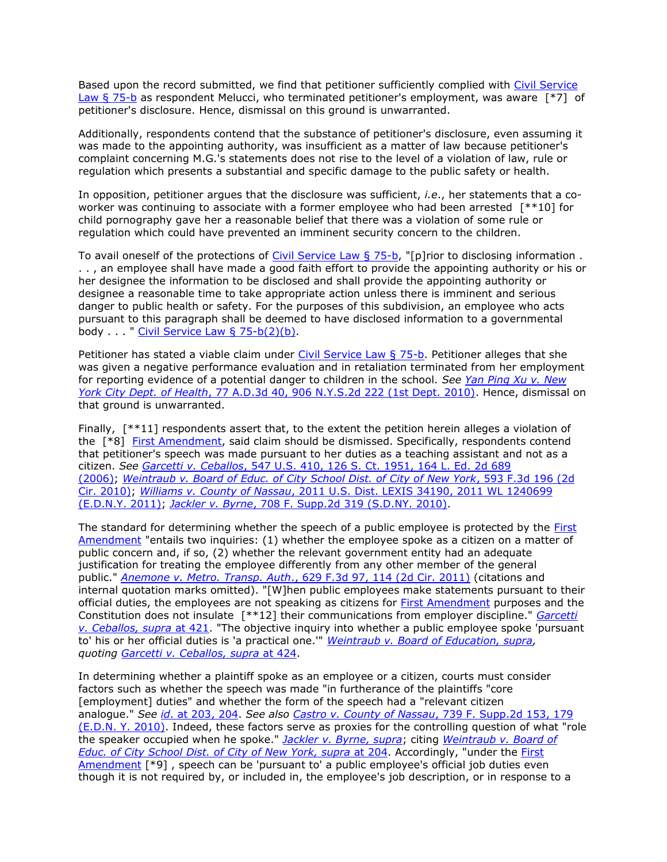Based upon the record submitted, we find that petitioner sufficiently complied with [Civil Service](http://www.lexisnexis.com.ezproxy.strose.edu/lnacui2api/mungo/lexseestat.do?bct=A&risb=21_T12122685609&homeCsi=9095&A=0.9216312071783853&urlEnc=ISO-8859-1&&citeString=N.Y.%20CIV.%20SERV.%20LAW%2075-B&countryCode=USA)  [Law § 75-b](http://www.lexisnexis.com.ezproxy.strose.edu/lnacui2api/mungo/lexseestat.do?bct=A&risb=21_T12122685609&homeCsi=9095&A=0.9216312071783853&urlEnc=ISO-8859-1&&citeString=N.Y.%20CIV.%20SERV.%20LAW%2075-B&countryCode=USA) as respondent Melucci, who terminated petitioner's employment, was aware [\*7] of petitioner's disclosure. Hence, dismissal on this ground is unwarranted.

Additionally, respondents contend that the substance of petitioner's disclosure, even assuming it was made to the appointing authority, was insufficient as a matter of law because petitioner's complaint concerning M.G.'s statements does not rise to the level of a violation of law, rule or regulation which presents a substantial and specific damage to the public safety or health.

In opposition, petitioner argues that the disclosure was sufficient, *i.e*., her statements that a coworker was continuing to associate with a former employee who had been arrested [\*\*10] for child pornography gave her a reasonable belief that there was a violation of some rule or regulation which could have prevented an imminent security concern to the children.

To avail oneself of the protections of [Civil Service Law § 75-b,](http://www.lexisnexis.com.ezproxy.strose.edu/lnacui2api/mungo/lexseestat.do?bct=A&risb=21_T12122685609&homeCsi=9095&A=0.9216312071783853&urlEnc=ISO-8859-1&&citeString=N.Y.%20CIV.%20SERV.%20LAW%2075-B&countryCode=USA) "[p]rior to disclosing information. . . , an employee shall have made a good faith effort to provide the appointing authority or his or her designee the information to be disclosed and shall provide the appointing authority or designee a reasonable time to take appropriate action unless there is imminent and serious danger to public health or safety. For the purposes of this subdivision, an employee who acts pursuant to this paragraph shall be deemed to have disclosed information to a governmental body . . . " Civil Service Law  $\S$  75-b(2)(b).

Petitioner has stated a viable claim under [Civil Service Law § 75-b.](http://www.lexisnexis.com.ezproxy.strose.edu/lnacui2api/mungo/lexseestat.do?bct=A&risb=21_T12122685609&homeCsi=9095&A=0.9216312071783853&urlEnc=ISO-8859-1&&citeString=N.Y.%20CIV.%20SERV.%20LAW%2075-B&countryCode=USA) Petitioner alleges that she was given a negative performance evaluation and in retaliation terminated from her employment for reporting evidence of a potential danger to children in the school. *See [Yan Ping Xu v. New](http://www.lexisnexis.com.ezproxy.strose.edu/lnacui2api/mungo/lexseestat.do?bct=A&risb=21_T12122685609&homeCsi=9095&A=0.9216312071783853&urlEnc=ISO-8859-1&&citeString=77%20A.D.3d%2040&countryCode=USA)  York City Dept. of Health*[, 77 A.D.3d 40, 906 N.Y.S.2d 222 \(1st Dept. 2010\).](http://www.lexisnexis.com.ezproxy.strose.edu/lnacui2api/mungo/lexseestat.do?bct=A&risb=21_T12122685609&homeCsi=9095&A=0.9216312071783853&urlEnc=ISO-8859-1&&citeString=77%20A.D.3d%2040&countryCode=USA) Hence, dismissal on that ground is unwarranted.

Finally, [\*\*11] respondents assert that, to the extent the petition herein alleges a violation of the [\*8] [First Amendment,](http://www.lexisnexis.com.ezproxy.strose.edu/lnacui2api/mungo/lexseestat.do?bct=A&risb=21_T12122685609&homeCsi=9095&A=0.9216312071783853&urlEnc=ISO-8859-1&&citeString=U.S.%20CONST.%20AMEND.%201&countryCode=USA) said claim should be dismissed. Specifically, respondents contend that petitioner's speech was made pursuant to her duties as a teaching assistant and not as a citizen. *See Garcetti v. Ceballos*[, 547 U.S. 410, 126 S. Ct. 1951, 164 L. Ed. 2d 689](http://www.lexisnexis.com.ezproxy.strose.edu/lnacui2api/mungo/lexseestat.do?bct=A&risb=21_T12122685609&homeCsi=9095&A=0.9216312071783853&urlEnc=ISO-8859-1&&citeString=547%20U.S.%20410&countryCode=USA)  [\(2006\);](http://www.lexisnexis.com.ezproxy.strose.edu/lnacui2api/mungo/lexseestat.do?bct=A&risb=21_T12122685609&homeCsi=9095&A=0.9216312071783853&urlEnc=ISO-8859-1&&citeString=547%20U.S.%20410&countryCode=USA) *[Weintraub v. Board of Educ. of City School Dist. of City of New York](http://www.lexisnexis.com.ezproxy.strose.edu/lnacui2api/mungo/lexseestat.do?bct=A&risb=21_T12122685609&homeCsi=9095&A=0.9216312071783853&urlEnc=ISO-8859-1&&citeString=593%20F.3d%20196&countryCode=USA)*, 593 F.3d 196 (2d [Cir. 2010\);](http://www.lexisnexis.com.ezproxy.strose.edu/lnacui2api/mungo/lexseestat.do?bct=A&risb=21_T12122685609&homeCsi=9095&A=0.9216312071783853&urlEnc=ISO-8859-1&&citeString=593%20F.3d%20196&countryCode=USA) *Williams v. County of Nassau*[, 2011 U.S. Dist. LEXIS 34190, 2011 WL 1240699](http://www.lexisnexis.com.ezproxy.strose.edu/lnacui2api/mungo/lexseestat.do?bct=A&risb=21_T12122685609&homeCsi=9095&A=0.9216312071783853&urlEnc=ISO-8859-1&&citeString=2011%20U.S.%20Dist.%20LEXIS%2034190&countryCode=USA)  [\(E.D.N.Y. 2011\);](http://www.lexisnexis.com.ezproxy.strose.edu/lnacui2api/mungo/lexseestat.do?bct=A&risb=21_T12122685609&homeCsi=9095&A=0.9216312071783853&urlEnc=ISO-8859-1&&citeString=2011%20U.S.%20Dist.%20LEXIS%2034190&countryCode=USA) *Jackler v. Byrne*[, 708 F. Supp.2d 319 \(S.D.NY. 2010\).](http://www.lexisnexis.com.ezproxy.strose.edu/lnacui2api/mungo/lexseestat.do?bct=A&risb=21_T12122685609&homeCsi=9095&A=0.9216312071783853&urlEnc=ISO-8859-1&&citeString=708%20F.%20Supp.%202d%20319&countryCode=USA)

The standard for determining whether the speech of a public employee is protected by the First [Amendment](http://www.lexisnexis.com.ezproxy.strose.edu/lnacui2api/mungo/lexseestat.do?bct=A&risb=21_T12122685609&homeCsi=9095&A=0.9216312071783853&urlEnc=ISO-8859-1&&citeString=U.S.%20CONST.%20AMEND.%201&countryCode=USA) "entails two inquiries: (1) whether the employee spoke as a citizen on a matter of public concern and, if so, (2) whether the relevant government entity had an adequate justification for treating the employee differently from any other member of the general public." *Anemone v. Metro. Transp. Auth*[., 629 F.3d 97, 114 \(2d Cir. 2011\)](http://www.lexisnexis.com.ezproxy.strose.edu/lnacui2api/mungo/lexseestat.do?bct=A&risb=21_T12122685609&homeCsi=9095&A=0.9216312071783853&urlEnc=ISO-8859-1&&citeString=629%20F.3d%2097,%20114&countryCode=USA) (citations and internal quotation marks omitted). "[W]hen public employees make statements pursuant to their official duties, the employees are not speaking as citizens for [First Amendment](http://www.lexisnexis.com.ezproxy.strose.edu/lnacui2api/mungo/lexseestat.do?bct=A&risb=21_T12122685609&homeCsi=9095&A=0.9216312071783853&urlEnc=ISO-8859-1&&citeString=U.S.%20CONST.%20AMEND.%201&countryCode=USA) purposes and the Constitution does not insulate [\*\*12] their communications from employer discipline." *[Garcetti](http://www.lexisnexis.com.ezproxy.strose.edu/lnacui2api/mungo/lexseestat.do?bct=A&risb=21_T12122685609&homeCsi=9095&A=0.9216312071783853&urlEnc=ISO-8859-1&&citeString=547%20U.S.%20410,%20421&countryCode=USA)  [v. Ceballos, supra](http://www.lexisnexis.com.ezproxy.strose.edu/lnacui2api/mungo/lexseestat.do?bct=A&risb=21_T12122685609&homeCsi=9095&A=0.9216312071783853&urlEnc=ISO-8859-1&&citeString=547%20U.S.%20410,%20421&countryCode=USA)* at 421. "The objective inquiry into whether a public employee spoke 'pursuant to' his or her official duties is 'a practical one.'" *[Weintraub v. Board of Education, supra,](http://www.lexisnexis.com.ezproxy.strose.edu/lnacui2api/mungo/lexseestat.do?bct=A&risb=21_T12122685609&homeCsi=9095&A=0.9216312071783853&urlEnc=ISO-8859-1&&citeString=593%20F.3d%20196&countryCode=USA) quoting [Garcetti v. Ceballos, supra](http://www.lexisnexis.com.ezproxy.strose.edu/lnacui2api/mungo/lexseestat.do?bct=A&risb=21_T12122685609&homeCsi=9095&A=0.9216312071783853&urlEnc=ISO-8859-1&&citeString=547%20U.S.%20410,%20424&countryCode=USA)* at 424.

In determining whether a plaintiff spoke as an employee or a citizen, courts must consider factors such as whether the speech was made "in furtherance of the plaintiffs "core [employment] duties" and whether the form of the speech had a "relevant citizen analogue." *See id*[. at 203, 204.](http://www.lexisnexis.com.ezproxy.strose.edu/lnacui2api/mungo/lexseestat.do?bct=A&risb=21_T12122685609&homeCsi=9095&A=0.9216312071783853&urlEnc=ISO-8859-1&&citeString=593%20F.3d%20196,%20203&countryCode=USA) *See also [Castro v. County of Nassau](http://www.lexisnexis.com.ezproxy.strose.edu/lnacui2api/mungo/lexseestat.do?bct=A&risb=21_T12122685609&homeCsi=9095&A=0.9216312071783853&urlEnc=ISO-8859-1&&citeString=739%20F.%20Supp.%202d%20153,%20179&countryCode=USA)*, 739 F. Supp.2d 153, 179 [\(E.D.N. Y. 2010\).](http://www.lexisnexis.com.ezproxy.strose.edu/lnacui2api/mungo/lexseestat.do?bct=A&risb=21_T12122685609&homeCsi=9095&A=0.9216312071783853&urlEnc=ISO-8859-1&&citeString=739%20F.%20Supp.%202d%20153,%20179&countryCode=USA) Indeed, these factors serve as proxies for the controlling question of what "role the speaker occupied when he spoke." *[Jackler v. Byrne, supra](http://www.lexisnexis.com.ezproxy.strose.edu/lnacui2api/mungo/lexseestat.do?bct=A&risb=21_T12122685609&homeCsi=9095&A=0.9216312071783853&urlEnc=ISO-8859-1&&citeString=708%20F.%20Supp.%202d%20319&countryCode=USA)*; citing *[Weintraub v. Board of](http://www.lexisnexis.com.ezproxy.strose.edu/lnacui2api/mungo/lexseestat.do?bct=A&risb=21_T12122685609&homeCsi=9095&A=0.9216312071783853&urlEnc=ISO-8859-1&&citeString=593%20F.3d%20196,%20204&countryCode=USA)  [Educ. of City School Dist. of City of New York, supra](http://www.lexisnexis.com.ezproxy.strose.edu/lnacui2api/mungo/lexseestat.do?bct=A&risb=21_T12122685609&homeCsi=9095&A=0.9216312071783853&urlEnc=ISO-8859-1&&citeString=593%20F.3d%20196,%20204&countryCode=USA)* at 204. Accordingly, "under the [First](http://www.lexisnexis.com.ezproxy.strose.edu/lnacui2api/mungo/lexseestat.do?bct=A&risb=21_T12122685609&homeCsi=9095&A=0.9216312071783853&urlEnc=ISO-8859-1&&citeString=U.S.%20CONST.%20AMEND.%201&countryCode=USA)  [Amendment](http://www.lexisnexis.com.ezproxy.strose.edu/lnacui2api/mungo/lexseestat.do?bct=A&risb=21_T12122685609&homeCsi=9095&A=0.9216312071783853&urlEnc=ISO-8859-1&&citeString=U.S.%20CONST.%20AMEND.%201&countryCode=USA) [\*9] , speech can be 'pursuant to' a public employee's official job duties even though it is not required by, or included in, the employee's job description, or in response to a